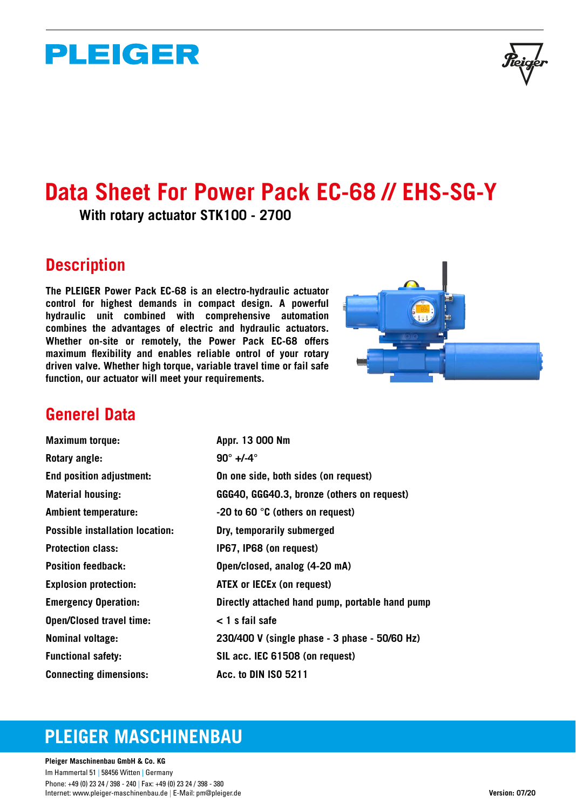# **PLEIGER**

# **Data Sheet For Power Pack EC-68 // EHS-SG-Y**

**With rotary actuator STK100 - 2700**

### **Description**

**The PLEIGER Power Pack EC-68 is an electro-hydraulic actuator control for highest demands in compact design. A powerful hydraulic unit combined with comprehensive automation combines the advantages of electric and hydraulic actuators. Whether on-site or remotely, the Power Pack EC-68 offers maximum flexibility and enables reliable ontrol of your rotary driven valve. Whether high torque, variable travel time or fail safe function, our actuator will meet your requirements.** 



### **Generel Data**

| <b>Maximum torque:</b>                 | Appr. 13 000 Nm                                 |
|----------------------------------------|-------------------------------------------------|
| Rotary angle:                          | $90^\circ +/-4^\circ$                           |
| <b>End position adjustment:</b>        | On one side, both sides (on request)            |
| <b>Material housing:</b>               | GGG40, GGG40.3, bronze (others on request)      |
| <b>Ambient temperature:</b>            | $-20$ to 60 $\degree$ C (others on request)     |
| <b>Possible installation location:</b> | Dry, temporarily submerged                      |
| <b>Protection class:</b>               | IP67, IP68 (on request)                         |
| <b>Position feedback:</b>              | Open/closed, analog (4-20 mA)                   |
| <b>Explosion protection:</b>           | <b>ATEX or IECEX (on request)</b>               |
| <b>Emergency Operation:</b>            | Directly attached hand pump, portable hand pump |
| <b>Open/Closed travel time:</b>        | < 1 s fail safe                                 |
| <b>Nominal voltage:</b>                | 230/400 V (single phase - 3 phase - 50/60 Hz)   |
| <b>Functional safety:</b>              | SIL acc. IEC 61508 (on request)                 |
| <b>Connecting dimensions:</b>          | <b>Acc. to DIN ISO 5211</b>                     |

## **PLEIGER MASCHINENBAU**

**Pleiger Maschinenbau GmbH & Co. KG**  Im Hammertal 51 | 58456 Witten | Germany Phone: +49 (0) 23 24 / 398 - 240 | Fax: +49 (0) 23 24 / 398 - 380 Internet: www.pleiger-maschinenbau.de | E-Mail: pm@pleiger.de